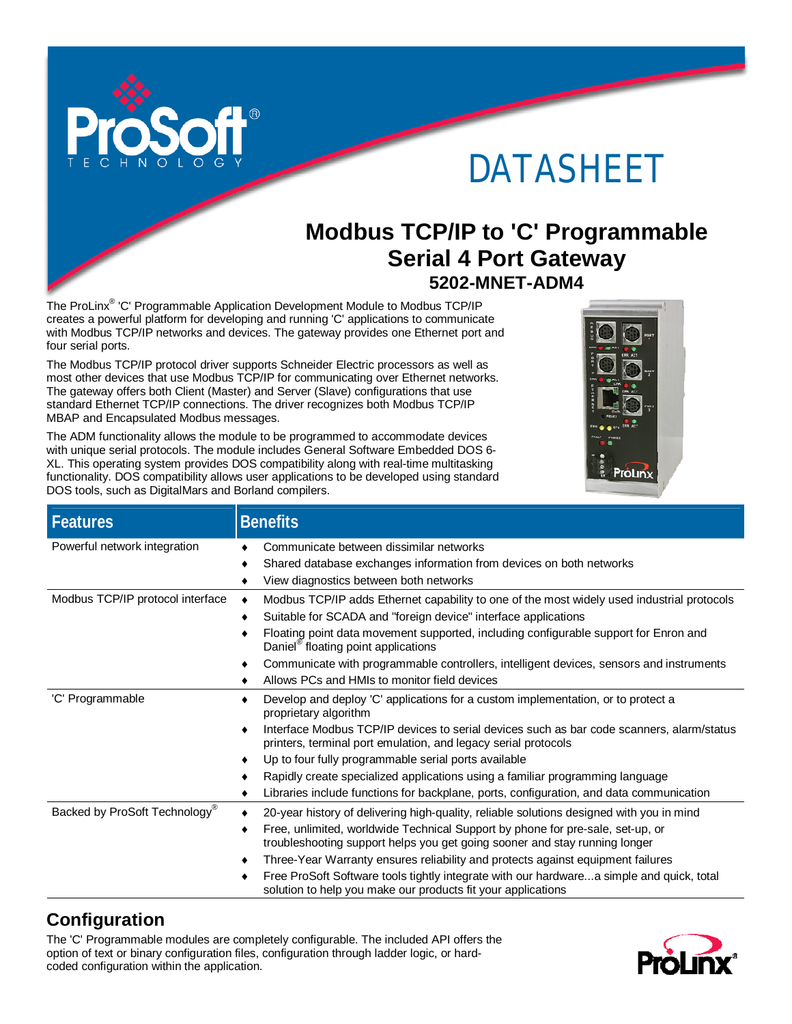

# DATASHEET

# **Modbus TCP/IP to 'C' Programmable Serial 4 Port Gateway 5202-MNET-ADM4**

The ProLinx<sup>®</sup> 'C' Programmable Application Development Module to Modbus TCP/IP creates a powerful platform for developing and running 'C' applications to communicate with Modbus TCP/IP networks and devices. The gateway provides one Ethernet port and four serial ports.

The Modbus TCP/IP protocol driver supports Schneider Electric processors as well as most other devices that use Modbus TCP/IP for communicating over Ethernet networks. The gateway offers both Client (Master) and Server (Slave) configurations that use standard Ethernet TCP/IP connections. The driver recognizes both Modbus TCP/IP MBAP and Encapsulated Modbus messages.



The ADM functionality allows the module to be programmed to accommodate devices with unique serial protocols. The module includes General Software Embedded DOS 6- XL. This operating system provides DOS compatibility along with real-time multitasking functionality. DOS compatibility allows user applications to be developed using standard DOS tools, such as DigitalMars and Borland compilers.

| <b>Features</b>                  | <b>Benefits</b>                                                                                                                                                   |
|----------------------------------|-------------------------------------------------------------------------------------------------------------------------------------------------------------------|
| Powerful network integration     | Communicate between dissimilar networks                                                                                                                           |
|                                  | Shared database exchanges information from devices on both networks                                                                                               |
|                                  | View diagnostics between both networks<br>٠                                                                                                                       |
| Modbus TCP/IP protocol interface | Modbus TCP/IP adds Ethernet capability to one of the most widely used industrial protocols<br>٠                                                                   |
|                                  | Suitable for SCADA and "foreign device" interface applications                                                                                                    |
|                                  | Floating point data movement supported, including configurable support for Enron and<br>٠<br>Daniel <sup>®</sup> floating point applications                      |
|                                  | Communicate with programmable controllers, intelligent devices, sensors and instruments<br>٠                                                                      |
|                                  | Allows PCs and HMIs to monitor field devices                                                                                                                      |
| 'C' Programmable                 | Develop and deploy 'C' applications for a custom implementation, or to protect a<br>proprietary algorithm                                                         |
|                                  | Interface Modbus TCP/IP devices to serial devices such as bar code scanners, alarm/status<br>printers, terminal port emulation, and legacy serial protocols       |
|                                  | Up to four fully programmable serial ports available<br>٠                                                                                                         |
|                                  | Rapidly create specialized applications using a familiar programming language                                                                                     |
|                                  | Libraries include functions for backplane, ports, configuration, and data communication<br>٠                                                                      |
| Backed by ProSoft Technology®    | 20-year history of delivering high-quality, reliable solutions designed with you in mind                                                                          |
|                                  | Free, unlimited, worldwide Technical Support by phone for pre-sale, set-up, or<br>٠<br>troubleshooting support helps you get going sooner and stay running longer |
|                                  | Three-Year Warranty ensures reliability and protects against equipment failures<br>٠                                                                              |
|                                  | Free ProSoft Software tools tightly integrate with our hardwarea simple and quick, total<br>solution to help you make our products fit your applications          |

# **Configuration**

The 'C' Programmable modules are completely configurable. The included API offers the option of text or binary configuration files, configuration through ladder logic, or hardcoded configuration within the application.

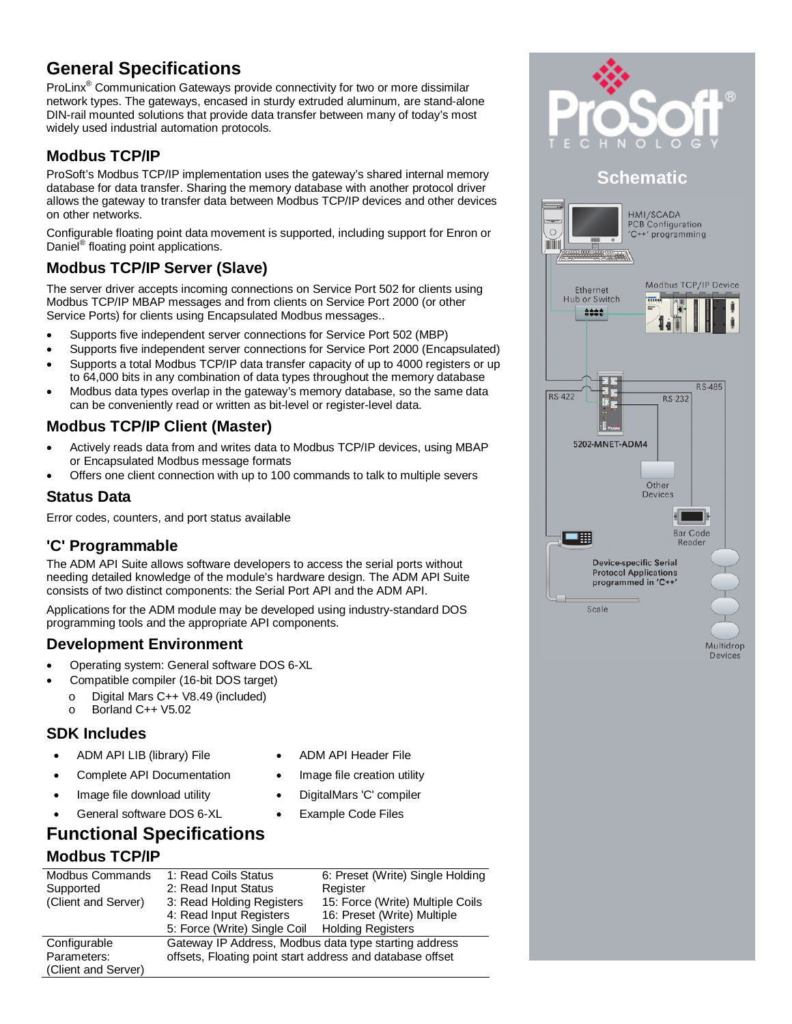# **General Specifications**

ProLinx<sup>®</sup> Communication Gateways provide connectivity for two or more dissimilar network types. The gateways, encased in sturdy extruded aluminum, are stand-alone DIN-rail mounted solutions that provide data transfer between many of today's most widely used industrial automation protocols.

#### **Modbus TCP/IP**

ProSoft's Modbus TCP/IP implementation uses the gateway's shared internal memory database for data transfer. Sharing the memory database with another protocol driver allows the gateway to transfer data between Modbus TCP/IP devices and other devices on other networks.

Configurable floating point data movement is supported, including support for Enron or Daniel<sup>®</sup> floating point applications.

#### **Modbus TCP/IP Server (Slave)**

The server driver accepts incoming connections on Service Port 502 for clients using Modbus TCP/IP MBAP messages and from clients on Service Port 2000 (or other Service Ports) for clients using Encapsulated Modbus messages..

- Supports five independent server connections for Service Port 502 (MBP)
- Supports five independent server connections for Service Port 2000 (Encapsulated)
- Supports a total Modbus TCP/IP data transfer capacity of up to 4000 registers or up to 64,000 bits in any combination of data types throughout the memory database
- Modbus data types overlap in the gateway's memory database, so the same data can be conveniently read or written as bit-level or register-level data.

#### **Modbus TCP/IP Client (Master)**

- Actively reads data from and writes data to Modbus TCP/IP devices, using MBAP or Encapsulated Modbus message formats
- Offers one client connection with up to 100 commands to talk to multiple severs

#### **Status Data**

Error codes, counters, and port status available

#### **'C' Programmable**

The ADM API Suite allows software developers to access the serial ports without needing detailed knowledge of the module's hardware design. The ADM API Suite consists of two distinct components: the Serial Port API and the ADM API.

Applications for the ADM module may be developed using industry-standard DOS programming tools and the appropriate API components.

#### **Development Environment**

- Operating system: General software DOS 6-XL
	- Compatible compiler (16-bit DOS target)
	- o Digital Mars C++ V8.49 (included)
	- o Borland C++ V5.02

#### **SDK Includes**

- 
- Complete API Documentation Image file creation utility
- 
- General software DOS 6-XL Example Code Files
- ADM API LIB (library) File ADM API Header File
	-
- Image file download utility **•** DigitalMars 'C' compiler
	-

# **Functional Specifications**

#### **Modbus TCP/IP**

| Modbus Commands     | 1: Read Coils Status                                      | 6: Preset (Write) Single Holding |
|---------------------|-----------------------------------------------------------|----------------------------------|
| Supported           | 2: Read Input Status                                      | Register                         |
| (Client and Server) | 3: Read Holding Registers                                 | 15: Force (Write) Multiple Coils |
|                     | 4: Read Input Registers                                   | 16: Preset (Write) Multiple      |
|                     | 5: Force (Write) Single Coil                              | <b>Holding Registers</b>         |
| Configurable        | Gateway IP Address, Modbus data type starting address     |                                  |
| Parameters:         | offsets, Floating point start address and database offset |                                  |
| (Client and Server) |                                                           |                                  |





Devices